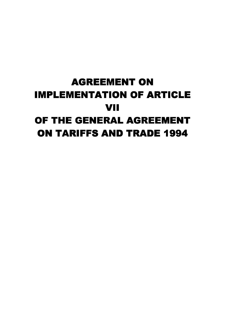# **AGREEMENT ON IMPLEMENTATION OF ARTICLE VII** OF THE GENERAL AGREEMENT **ON TARIFFS AND TRADE 1994**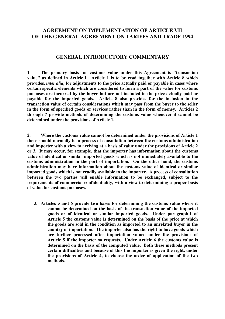# AGREEMENT ON IMPLEMENTATION OF ARTICLE VII OF THE GENERAL AGREEMENT ON TARIFFS AND TRADE 1994

# GENERAL INTRODUCTORY COMMENTARY

1. The primary basis for customs value under this Agreement is "transaction value" as defined in Article 1. Article 1 is to be read together with Article 8 which provides, inter alia, for adjustments to the price actually paid or payable in cases where certain specific elements which are considered to form a part of the value for customs purposes are incurred by the buyer but are not included in the price actually paid or payable for the imported goods. Article 8 also provides for the inclusion in the transaction value of certain considerations which may pass from the buyer to the seller in the form of specified goods or services rather than in the form of money. Articles 2 through 7 provide methods of determining the customs value whenever it cannot be determined under the provisions of Article 1.

2. Where the customs value cannot be determined under the provisions of Article 1 there should normally be a process of consultation between the customs administration and importer with a view to arriving at a basis of value under the provisions of Article 2 or 3. It may occur, for example, that the importer has information about the customs value of identical or similar imported goods which is not immediately available to the customs administration in the port of importation. On the other hand, the customs administration may have information about the customs value of identical or similar imported goods which is not readily available to the importer. A process of consultation between the two parties will enable information to be exchanged, subject to the requirements of commercial confidentiality, with a view to determining a proper basis of value for customs purposes.

3. Articles 5 and 6 provide two bases for determining the customs value where it cannot be determined on the basis of the transaction value of the imported goods or of identical or similar imported goods. Under paragraph 1 of Article 5 the customs value is determined on the basis of the price at which the goods are sold in the condition as imported to an unrelated buyer in the country of importation. The importer also has the right to have goods which are further processed after importation valued under the provisions of Article 5 if the importer so requests. Under Article 6 the customs value is determined on the basis of the computed value. Both these methods present certain difficulties and because of this the importer is given the right, under the provisions of Article 4, to choose the order of application of the two methods.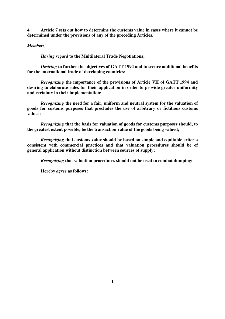4. Article 7 sets out how to determine the customs value in cases where it cannot be determined under the provisions of any of the preceding Articles.

#### Members,

Having regard to the Multilateral Trade Negotiations;

Desiring to further the objectives of GATT 1994 and to secure additional benefits for the international trade of developing countries;

Recognizing the importance of the provisions of Article VII of GATT 1994 and desiring to elaborate rules for their application in order to provide greater uniformity and certainty in their implementation;

Recognizing the need for a fair, uniform and neutral system for the valuation of goods for customs purposes that precludes the use of arbitrary or fictitious customs values;

Recognizing that the basis for valuation of goods for customs purposes should, to the greatest extent possible, be the transaction value of the goods being valued;

Recognizing that customs value should be based on simple and equitable criteria consistent with commercial practices and that valuation procedures should be of general application without distinction between sources of supply;

Recognizing that valuation procedures should not be used to combat dumping;

Hereby agree as follows: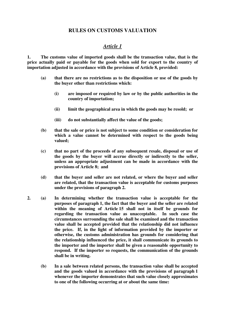# RULES ON CUSTOMS VALUATION

# Article 1

1. The customs value of imported goods shall be the transaction value, that is the price actually paid or payable for the goods when sold for export to the country of importation adjusted in accordance with the provisions of Article 8, provided:

- (a) that there are no restrictions as to the disposition or use of the goods by the buyer other than restrictions which:
	- (i) are imposed or required by law or by the public authorities in the country of importation;
	- (ii) limit the geographical area in which the goods may be resold; or
	- (iii) do not substantially affect the value of the goods;
- (b) that the sale or price is not subject to some condition or consideration for which a value cannot be determined with respect to the goods being valued;
- (c) that no part of the proceeds of any subsequent resale, disposal or use of the goods by the buyer will accrue directly or indirectly to the seller, unless an appropriate adjustment can be made in accordance with the provisions of Article 8; and
- (d) that the buyer and seller are not related, or where the buyer and seller are related, that the transaction value is acceptable for customs purposes under the provisions of paragraph 2.
- 2. (a) In determining whether the transaction value is acceptable for the purposes of paragraph 1, the fact that the buyer and the seller are related within the meaning of Article 15 shall not in itself be grounds for regarding the transaction value as unacceptable. In such case the circumstances surrounding the sale shall be examined and the transaction value shall be accepted provided that the relationship did not influence the price. If, in the light of information provided by the importer or otherwise, the customs administration has grounds for considering that the relationship influenced the price, it shall communicate its grounds to the importer and the importer shall be given a reasonable opportunity to respond. If the importer so requests, the communication of the grounds shall be in writing.
	- (b) In a sale between related persons, the transaction value shall be accepted and the goods valued in accordance with the provisions of paragraph 1 whenever the importer demonstrates that such value closely approximates to one of the following occurring at or about the same time: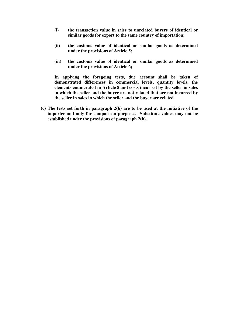- (i) the transaction value in sales to unrelated buyers of identical or similar goods for export to the same country of importation;
- (ii) the customs value of identical or similar goods as determined under the provisions of Article 5;
- (iii) the customs value of identical or similar goods as determined under the provisions of Article 6;

In applying the foregoing tests, due account shall be taken of demonstrated differences in commercial levels, quantity levels, the elements enumerated in Article 8 and costs incurred by the seller in sales in which the seller and the buyer are not related that are not incurred by the seller in sales in which the seller and the buyer are related.

(c) The tests set forth in paragraph 2(b) are to be used at the initiative of the importer and only for comparison purposes. Substitute values may not be established under the provisions of paragraph 2(b).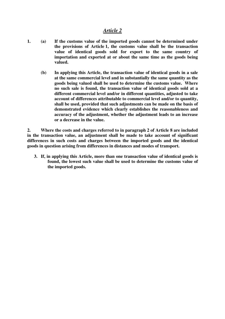- 1. (a) If the customs value of the imported goods cannot be determined under the provisions of Article 1, the customs value shall be the transaction value of identical goods sold for export to the same country of importation and exported at or about the same time as the goods being valued.
	- (b) In applying this Article, the transaction value of identical goods in a sale at the same commercial level and in substantially the same quantity as the goods being valued shall be used to determine the customs value. Where no such sale is found, the transaction value of identical goods sold at a different commercial level and/or in different quantities, adjusted to take account of differences attributable to commercial level and/or to quantity, shall be used, provided that such adjustments can be made on the basis of demonstrated evidence which clearly establishes the reasonableness and accuracy of the adjustment, whether the adjustment leads to an increase or a decrease in the value.

2. Where the costs and charges referred to in paragraph 2 of Article 8 are included in the transaction value, an adjustment shall be made to take account of significant differences in such costs and charges between the imported goods and the identical goods in question arising from differences in distances and modes of transport.

3. If, in applying this Article, more than one transaction value of identical goods is found, the lowest such value shall be used to determine the customs value of the imported goods.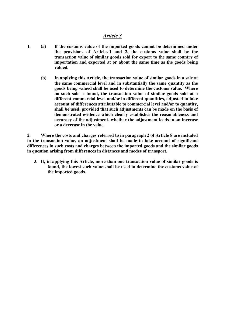- 1. (a) If the customs value of the imported goods cannot be determined under the provisions of Articles 1 and 2, the customs value shall be the transaction value of similar goods sold for export to the same country of importation and exported at or about the same time as the goods being valued.
	- (b) In applying this Article, the transaction value of similar goods in a sale at the same commercial level and in substantially the same quantity as the goods being valued shall be used to determine the customs value. Where no such sale is found, the transaction value of similar goods sold at a different commercial level and/or in different quantities, adjusted to take account of differences attributable to commercial level and/or to quantity, shall be used, provided that such adjustments can be made on the basis of demonstrated evidence which clearly establishes the reasonableness and accuracy of the adjustment, whether the adjustment leads to an increase or a decrease in the value.

2. Where the costs and charges referred to in paragraph 2 of Article 8 are included in the transaction value, an adjustment shall be made to take account of significant differences in such costs and charges between the imported goods and the similar goods in question arising from differences in distances and modes of transport.

3. If, in applying this Article, more than one transaction value of similar goods is found, the lowest such value shall be used to determine the customs value of the imported goods.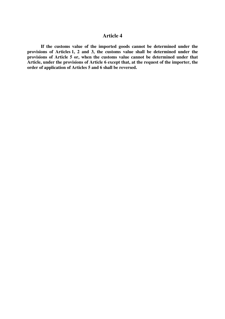If the customs value of the imported goods cannot be determined under the provisions of Articles 1, 2 and 3, the customs value shall be determined under the provisions of Article 5 or, when the customs value cannot be determined under that Article, under the provisions of Article 6 except that, at the request of the importer, the order of application of Articles 5 and 6 shall be reversed.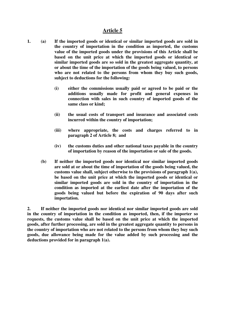- 1. (a) If the imported goods or identical or similar imported goods are sold in the country of importation in the condition as imported, the customs value of the imported goods under the provisions of this Article shall be based on the unit price at which the imported goods or identical or similar imported goods are so sold in the greatest aggregate quantity, at or about the time of the importation of the goods being valued, to persons who are not related to the persons from whom they buy such goods, subject to deductions for the following:
	- (i) either the commissions usually paid or agreed to be paid or the additions usually made for profit and general expenses in connection with sales in such country of imported goods of the same class or kind;
	- (ii) the usual costs of transport and insurance and associated costs incurred within the country of importation;
	- (iii) where appropriate, the costs and charges referred to in paragraph 2 of Article 8; and
	- (iv) the customs duties and other national taxes payable in the country of importation by reason of the importation or sale of the goods.
	- (b) If neither the imported goods nor identical nor similar imported goods are sold at or about the time of importation of the goods being valued, the customs value shall, subject otherwise to the provisions of paragraph 1(a), be based on the unit price at which the imported goods or identical or similar imported goods are sold in the country of importation in the condition as imported at the earliest date after the importation of the goods being valued but before the expiration of 90 days after such importation.

2. If neither the imported goods nor identical nor similar imported goods are sold in the country of importation in the condition as imported, then, if the importer so requests, the customs value shall be based on the unit price at which the imported goods, after further processing, are sold in the greatest aggregate quantity to persons in the country of importation who are not related to the persons from whom they buy such goods, due allowance being made for the value added by such processing and the deductions provided for in paragraph 1(a).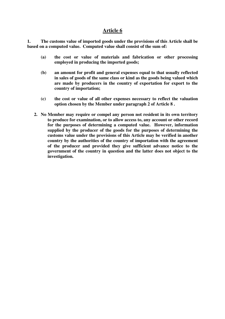1. The customs value of imported goods under the provisions of this Article shall be based on a computed value. Computed value shall consist of the sum of:

- (a) the cost or value of materials and fabrication or other processing employed in producing the imported goods;
- (b) an amount for profit and general expenses equal to that usually reflected in sales of goods of the same class or kind as the goods being valued which are made by producers in the country of exportation for export to the country of importation;
- (c) the cost or value of all other expenses necessary to reflect the valuation option chosen by the Member under paragraph 2 of Article 8 .
- 2. No Member may require or compel any person not resident in its own territory to produce for examination, or to allow access to, any account or other record for the purposes of determining a computed value. However, information supplied by the producer of the goods for the purposes of determining the customs value under the provisions of this Article may be verified in another country by the authorities of the country of importation with the agreement of the producer and provided they give sufficient advance notice to the government of the country in question and the latter does not object to the investigation.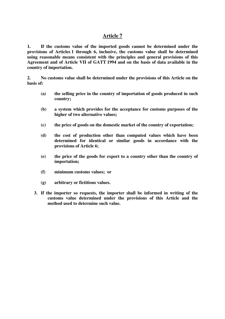1. If the customs value of the imported goods cannot be determined under the provisions of Articles 1 through 6, inclusive, the customs value shall be determined using reasonable means consistent with the principles and general provisions of this Agreement and of Article VII of GATT 1994 and on the basis of data available in the country of importation.

2. No customs value shall be determined under the provisions of this Article on the basis of:

- (a) the selling price in the country of importation of goods produced in such country;
- (b) a system which provides for the acceptance for customs purposes of the higher of two alternative values;
- (c) the price of goods on the domestic market of the country of exportation;
- (d) the cost of production other than computed values which have been determined for identical or similar goods in accordance with the provisions of Article 6;
- (e) the price of the goods for export to a country other than the country of importation;
- (f) minimum customs values; or
- (g) arbitrary or fictitious values.
- 3. If the importer so requests, the importer shall be informed in writing of the customs value determined under the provisions of this Article and the method used to determine such value.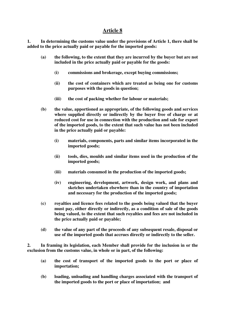1. In determining the customs value under the provisions of Article 1, there shall be added to the price actually paid or payable for the imported goods:

- (a) the following, to the extent that they are incurred by the buyer but are not included in the price actually paid or payable for the goods:
	- (i) commissions and brokerage, except buying commissions;
	- (ii) the cost of containers which are treated as being one for customs purposes with the goods in question;
	- (iii) the cost of packing whether for labour or materials;
- (b) the value, apportioned as appropriate, of the following goods and services where supplied directly or indirectly by the buyer free of charge or at reduced cost for use in connection with the production and sale for export of the imported goods, to the extent that such value has not been included in the price actually paid or payable:
	- (i) materials, components, parts and similar items incorporated in the imported goods;
	- (ii) tools, dies, moulds and similar items used in the production of the imported goods;
	- (iii) materials consumed in the production of the imported goods;
	- (iv) engineering, development, artwork, design work, and plans and sketches undertaken elsewhere than in the country of importation and necessary for the production of the imported goods;
- (c) royalties and licence fees related to the goods being valued that the buyer must pay, either directly or indirectly, as a condition of sale of the goods being valued, to the extent that such royalties and fees are not included in the price actually paid or payable;
- (d) the value of any part of the proceeds of any subsequent resale, disposal or use of the imported goods that accrues directly or indirectly to the seller.

2. In framing its legislation, each Member shall provide for the inclusion in or the exclusion from the customs value, in whole or in part, of the following:

- (a) the cost of transport of the imported goods to the port or place of importation;
- (b) loading, unloading and handling charges associated with the transport of the imported goods to the port or place of importation; and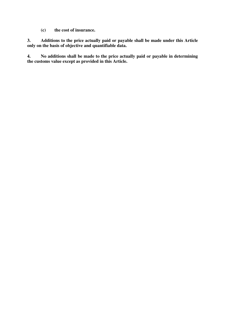(c) the cost of insurance.

3. Additions to the price actually paid or payable shall be made under this Article only on the basis of objective and quantifiable data.

4. No additions shall be made to the price actually paid or payable in determining the customs value except as provided in this Article.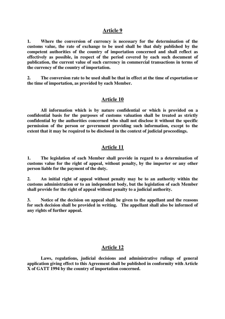1. Where the conversion of currency is necessary for the determination of the customs value, the rate of exchange to be used shall be that duly published by the competent authorities of the country of importation concerned and shall reflect as effectively as possible, in respect of the period covered by each such document of publication, the current value of such currency in commercial transactions in terms of the currency of the country of importation.

2. The conversion rate to be used shall be that in effect at the time of exportation or the time of importation, as provided by each Member.

## Article 10

 All information which is by nature confidential or which is provided on a confidential basis for the purposes of customs valuation shall be treated as strictly confidential by the authorities concerned who shall not disclose it without the specific permission of the person or government providing such information, except to the extent that it may be required to be disclosed in the context of judicial proceedings.

# Article 11

1. The legislation of each Member shall provide in regard to a determination of customs value for the right of appeal, without penalty, by the importer or any other person liable for the payment of the duty.

2. An initial right of appeal without penalty may be to an authority within the customs administration or to an independent body, but the legislation of each Member shall provide for the right of appeal without penalty to a judicial authority.

3. Notice of the decision on appeal shall be given to the appellant and the reasons for such decision shall be provided in writing. The appellant shall also be informed of any rights of further appeal.

## Article 12

 Laws, regulations, judicial decisions and administrative rulings of general application giving effect to this Agreement shall be published in conformity with Article X of GATT 1994 by the country of importation concerned.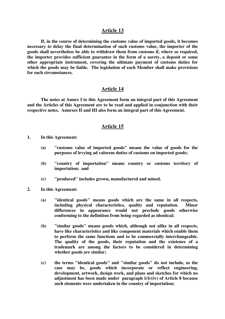If, in the course of determining the customs value of imported goods, it becomes necessary to delay the final determination of such customs value, the importer of the goods shall nevertheless be able to withdraw them from customs if, where so required, the importer provides sufficient guarantee in the form of a surety, a deposit or some other appropriate instrument, covering the ultimate payment of customs duties for which the goods may be liable. The legislation of each Member shall make provisions for such circumstances.

## Article 14

 The notes at Annex I to this Agreement form an integral part of this Agreement and the Articles of this Agreement are to be read and applied in conjunction with their respective notes. Annexes II and III also form an integral part of this Agreement.

## Article 15

- 1. In this Agreement:
	- (a) "customs value of imported goods" means the value of goods for the purposes of levying ad valorem duties of customs on imported goods;
	- (b) "country of importation" means country or customs territory of importation; and
	- (c) "produced" includes grown, manufactured and mined.
- 2. In this Agreement:
	- (a) "identical goods" means goods which are the same in all respects, including physical characteristics, quality and reputation. Minor differences in appearance would not preclude goods otherwise conforming to the definition from being regarded as identical;
	- (b) "similar goods" means goods which, although not alike in all respects, have like characteristics and like component materials which enable them to perform the same functions and to be commercially interchangeable. The quality of the goods, their reputation and the existence of a trademark are among the factors to be considered in determining whether goods are similar;
	- (c) the terms "identical goods" and "similar goods" do not include, as the case may be, goods which incorporate or reflect engineering, development, artwork, design work, and plans and sketches for which no adjustment has been made under paragraph 1(b)(iv) of Article 8 because such elements were undertaken in the country of importation;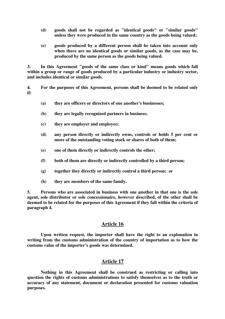- (d) goods shall not be regarded as "identical goods" or "similar goods" unless they were produced in the same country as the goods being valued;
- (e) goods produced by a different person shall be taken into account only when there are no identical goods or similar goods, as the case may be, produced by the same person as the goods being valued.

3. In this Agreement "goods of the same class or kind" means goods which fall within a group or range of goods produced by a particular industry or industry sector, and includes identical or similar goods.

4. For the purposes of this Agreement, persons shall be deemed to be related only if:

- (a) they are officers or directors of one another's businesses;
- (b) they are legally recognized partners in business;
- (c) they are employer and employee;
- (d) any person directly or indirectly owns, controls or holds 5 per cent or more of the outstanding voting stock or shares of both of them;
- (e) one of them directly or indirectly controls the other;
- (f) both of them are directly or indirectly controlled by a third person;
- (g) together they directly or indirectly control a third person; or
- (h) they are members of the same family.

5. Persons who are associated in business with one another in that one is the sole agent, sole distributor or sole concessionaire, however described, of the other shall be deemed to be related for the purposes of this Agreement if they fall within the criteria of paragraph 4.

# Article 16

 Upon written request, the importer shall have the right to an explanation in writing from the customs administration of the country of importation as to how the customs value of the importer's goods was determined.

## Article 17

 Nothing in this Agreement shall be construed as restricting or calling into question the rights of customs administrations to satisfy themselves as to the truth or accuracy of any statement, document or declaration presented for customs valuation purposes.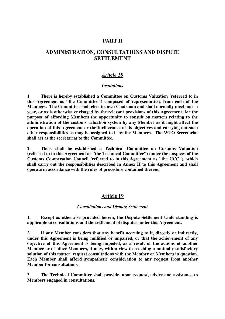# PART II

# ADMINISTRATION, CONSULTATIONS AND DISPUTE **SETTLEMENT**

# Article 18

#### **Institutions**

1. There is hereby established a Committee on Customs Valuation (referred to in this Agreement as "the Committee") composed of representatives from each of the Members. The Committee shall elect its own Chairman and shall normally meet once a year, or as is otherwise envisaged by the relevant provisions of this Agreement, for the purpose of affording Members the opportunity to consult on matters relating to the administration of the customs valuation system by any Member as it might affect the operation of this Agreement or the furtherance of its objectives and carrying out such other responsibilities as may be assigned to it by the Members. The WTO Secretariat shall act as the secretariat to the Committee.

2. There shall be established a Technical Committee on Customs Valuation (referred to in this Agreement as "the Technical Committee") under the auspices of the Customs Co-operation Council (referred to in this Agreement as "the CCC"), which shall carry out the responsibilities described in Annex II to this Agreement and shall operate in accordance with the rules of procedure contained therein.

# Article 19

## Consultations and Dispute Settlement

1. Except as otherwise provided herein, the Dispute Settlement Understanding is applicable to consultations and the settlement of disputes under this Agreement.

2. If any Member considers that any benefit accruing to it, directly or indirectly, under this Agreement is being nullified or impaired, or that the achievement of any objective of this Agreement is being impeded, as a result of the actions of another Member or of other Members, it may, with a view to reaching a mutually satisfactory solution of this matter, request consultations with the Member or Members in question. Each Member shall afford sympathetic consideration to any request from another Member for consultations.

3. The Technical Committee shall provide, upon request, advice and assistance to Members engaged in consultations.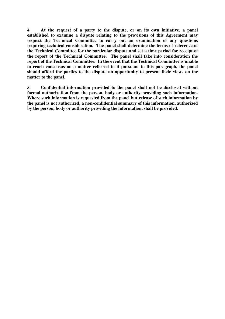4. At the request of a party to the dispute, or on its own initiative, a panel established to examine a dispute relating to the provisions of this Agreement may request the Technical Committee to carry out an examination of any questions requiring technical consideration. The panel shall determine the terms of reference of the Technical Committee for the particular dispute and set a time period for receipt of the report of the Technical Committee. The panel shall take into consideration the report of the Technical Committee. In the event that the Technical Committee is unable to reach consensus on a matter referred to it pursuant to this paragraph, the panel should afford the parties to the dispute an opportunity to present their views on the matter to the panel.

5. Confidential information provided to the panel shall not be disclosed without formal authorization from the person, body or authority providing such information. Where such information is requested from the panel but release of such information by the panel is not authorized, a non-confidential summary of this information, authorized by the person, body or authority providing the information, shall be provided.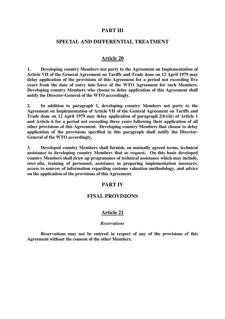## PART **III**

# SPECIAL AND DIFFERENTIAL TREATMENT

## Article 20

1. Developing country Members not party to the Agreement on Implementation of Article VII of the General Agreement on Tariffs and Trade done on 12 April 1979 may delay application of the provisions of this Agreement for a period not exceeding five years from the date of entry into force of the WTO Agreement for such Members. Developing country Members who choose to delay application of this Agreement shall notify the Director-General of the WTO accordingly.

2. In addition to paragraph 1, developing country Members not party to the Agreement on Implementation of Article VII of the General Agreement on Tariffs and Trade done on 12 April 1979 may delay application of paragraph 2(b)(iii) of Article 1 and Article 6 for a period not exceeding three years following their application of all other provisions of this Agreement. Developing country Members that choose to delay application of the provisions specified in this paragraph shall notify the Director-General of the WTO accordingly.

3. Developed country Members shall furnish, on mutually agreed terms, technical assistance to developing country Members that so request. On this basis developed country Members shall draw up programmes of technical assistance which may include, inter alia, training of personnel, assistance in preparing implementation measures, access to sources of information regarding customs valuation methodology, and advice on the application of the provisions of this Agreement.

## PART IV

## FINAL PROVISIONS

#### Article 21

#### **Reservations**

 Reservations may not be entered in respect of any of the provisions of this Agreement without the consent of the other Members.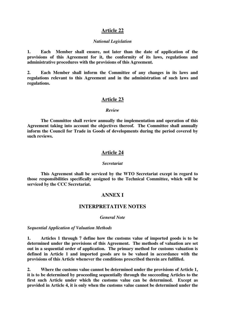#### National Legislation

1. Each Member shall ensure, not later than the date of application of the provisions of this Agreement for it, the conformity of its laws, regulations and administrative procedures with the provisions of this Agreement.

2. Each Member shall inform the Committee of any changes in its laws and regulations relevant to this Agreement and in the administration of such laws and regulations.

## Article 23

#### Review

 The Committee shall review annually the implementation and operation of this Agreement taking into account the objectives thereof. The Committee shall annually inform the Council for Trade in Goods of developments during the period covered by such reviews.

# Article 24

#### Secretariat

 This Agreement shall be serviced by the WTO Secretariat except in regard to those responsibilities specifically assigned to the Technical Committee, which will be serviced by the CCC Secretariat.

## ANNEX I

## INTERPRETATIVE NOTES

#### General Note

#### Sequential Application of Valuation Methods

1. Articles 1 through 7 define how the customs value of imported goods is to be determined under the provisions of this Agreement. The methods of valuation are set out in a sequential order of application. The primary method for customs valuation is defined in Article 1 and imported goods are to be valued in accordance with the provisions of this Article whenever the conditions prescribed therein are fulfilled.

2. Where the customs value cannot be determined under the provisions of Article 1, it is to be determined by proceeding sequentially through the succeeding Articles to the first such Article under which the customs value can be determined. Except as provided in Article 4, it is only when the customs value cannot be determined under the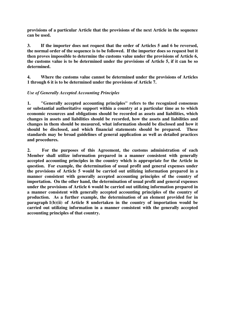provisions of a particular Article that the provisions of the next Article in the sequence can be used.

3. If the importer does not request that the order of Articles 5 and 6 be reversed, the normal order of the sequence is to be followed. If the importer does so request but it then proves impossible to determine the customs value under the provisions of Article 6, the customs value is to be determined under the provisions of Article 5, if it can be so determined.

4. Where the customs value cannot be determined under the provisions of Articles 1 through 6 it is to be determined under the provisions of Article 7.

# Use of Generally Accepted Accounting Principles

1. "Generally accepted accounting principles" refers to the recognized consensus or substantial authoritative support within a country at a particular time as to which economic resources and obligations should be recorded as assets and liabilities, which changes in assets and liabilities should be recorded, how the assets and liabilities and changes in them should be measured, what information should be disclosed and how it should be disclosed, and which financial statements should be prepared. These standards may be broad guidelines of general application as well as detailed practices and procedures.

2. For the purposes of this Agreement, the customs administration of each Member shall utilize information prepared in a manner consistent with generally accepted accounting principles in the country which is appropriate for the Article in question. For example, the determination of usual profit and general expenses under the provisions of Article 5 would be carried out utilizing information prepared in a manner consistent with generally accepted accounting principles of the country of importation. On the other hand, the determination of usual profit and general expenses under the provisions of Article 6 would be carried out utilizing information prepared in a manner consistent with generally accepted accounting principles of the country of production. As a further example, the determination of an element provided for in paragraph 1(b)(ii) of Article 8 undertaken in the country of importation would be carried out utilizing information in a manner consistent with the generally accepted accounting principles of that country.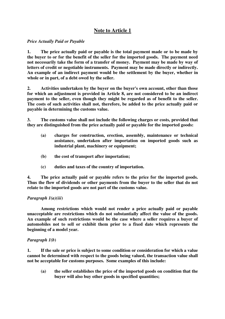## Price Actually Paid or Payable

1. The price actually paid or payable is the total payment made or to be made by the buyer to or for the benefit of the seller for the imported goods. The payment need not necessarily take the form of a transfer of money. Payment may be made by way of letters of credit or negotiable instruments. Payment may be made directly or indirectly. An example of an indirect payment would be the settlement by the buyer, whether in whole or in part, of a debt owed by the seller.

2. Activities undertaken by the buyer on the buyer's own account, other than those for which an adjustment is provided in Article 8, are not considered to be an indirect payment to the seller, even though they might be regarded as of benefit to the seller. The costs of such activities shall not, therefore, be added to the price actually paid or payable in determining the customs value.

3. The customs value shall not include the following charges or costs, provided that they are distinguished from the price actually paid or payable for the imported goods:

- (a) charges for construction, erection, assembly, maintenance or technical assistance, undertaken after importation on imported goods such as industrial plant, machinery or equipment;
- (b) the cost of transport after importation;
- (c) duties and taxes of the country of importation.

4. The price actually paid or payable refers to the price for the imported goods. Thus the flow of dividends or other payments from the buyer to the seller that do not relate to the imported goods are not part of the customs value.

# Paragraph 1(a)(iii)

 Among restrictions which would not render a price actually paid or payable unacceptable are restrictions which do not substantially affect the value of the goods. An example of such restrictions would be the case where a seller requires a buyer of automobiles not to sell or exhibit them prior to a fixed date which represents the beginning of a model year.

## Paragraph 1(b)

1. If the sale or price is subject to some condition or consideration for which a value cannot be determined with respect to the goods being valued, the transaction value shall not be acceptable for customs purposes. Some examples of this include:

(a) the seller establishes the price of the imported goods on condition that the buyer will also buy other goods in specified quantities;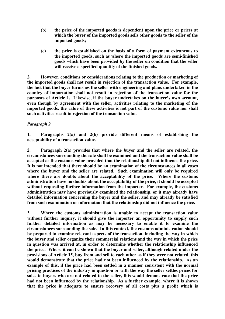- (b) the price of the imported goods is dependent upon the price or prices at which the buyer of the imported goods sells other goods to the seller of the imported goods;
- (c) the price is established on the basis of a form of payment extraneous to the imported goods, such as where the imported goods are semi-finished goods which have been provided by the seller on condition that the seller will receive a specified quantity of the finished goods.

2. However, conditions or considerations relating to the production or marketing of the imported goods shall not result in rejection of the transaction value. For example, the fact that the buyer furnishes the seller with engineering and plans undertaken in the country of importation shall not result in rejection of the transaction value for the purposes of Article 1. Likewise, if the buyer undertakes on the buyer's own account, even though by agreement with the seller, activities relating to the marketing of the imported goods, the value of these activities is not part of the customs value nor shall such activities result in rejection of the transaction value.

# Paragraph 2

1. Paragraphs 2(a) and 2(b) provide different means of establishing the acceptability of a transaction value.

2. Paragraph 2(a) provides that where the buyer and the seller are related, the circumstances surrounding the sale shall be examined and the transaction value shall be accepted as the customs value provided that the relationship did not influence the price. It is not intended that there should be an examination of the circumstances in all cases where the buyer and the seller are related. Such examination will only be required where there are doubts about the acceptability of the price. Where the customs administration have no doubts about the acceptability of the price, it should be accepted without requesting further information from the importer. For example, the customs administration may have previously examined the relationship, or it may already have detailed information concerning the buyer and the seller, and may already be satisfied from such examination or information that the relationship did not influence the price.

3. Where the customs administration is unable to accept the transaction value without further inquiry, it should give the importer an opportunity to supply such further detailed information as may be necessary to enable it to examine the circumstances surrounding the sale. In this context, the customs administration should be prepared to examine relevant aspects of the transaction, including the way in which the buyer and seller organize their commercial relations and the way in which the price in question was arrived at, in order to determine whether the relationship influenced the price. Where it can be shown that the buyer and seller, although related under the provisions of Article 15, buy from and sell to each other as if they were not related, this would demonstrate that the price had not been influenced by the relationship. As an example of this, if the price had been settled in a manner consistent with the normal pricing practices of the industry in question or with the way the seller settles prices for sales to buyers who are not related to the seller, this would demonstrate that the price had not been influenced by the relationship. As a further example, where it is shown that the price is adequate to ensure recovery of all costs plus a profit which is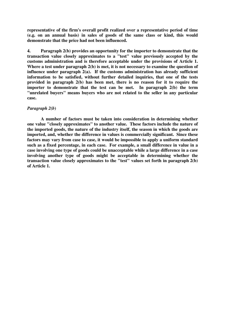representative of the firm's overall profit realized over a representative period of time (e.g. on an annual basis) in sales of goods of the same class or kind, this would demonstrate that the price had not been influenced.

4. Paragraph 2(b) provides an opportunity for the importer to demonstrate that the transaction value closely approximates to a "test" value previously accepted by the customs administration and is therefore acceptable under the provisions of Article 1. Where a test under paragraph 2(b) is met, it is not necessary to examine the question of influence under paragraph  $2(a)$ . If the customs administration has already sufficient information to be satisfied, without further detailed inquiries, that one of the tests provided in paragraph 2(b) has been met, there is no reason for it to require the importer to demonstrate that the test can be met. In paragraph 2(b) the term "unrelated buyers" means buyers who are not related to the seller in any particular case.

#### Paragraph 2(b)

 A number of factors must be taken into consideration in determining whether one value "closely approximates" to another value. These factors include the nature of the imported goods, the nature of the industry itself, the season in which the goods are imported, and, whether the difference in values is commercially significant. Since these factors may vary from case to case, it would be impossible to apply a uniform standard such as a fixed percentage, in each case. For example, a small difference in value in a case involving one type of goods could be unacceptable while a large difference in a case involving another type of goods might be acceptable in determining whether the transaction value closely approximates to the "test" values set forth in paragraph 2(b) of Article 1.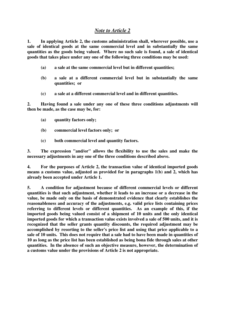1. In applying Article 2, the customs administration shall, wherever possible, use a sale of identical goods at the same commercial level and in substantially the same quantities as the goods being valued. Where no such sale is found, a sale of identical goods that takes place under any one of the following three conditions may be used:

- (a) a sale at the same commercial level but in different quantities;
- (b) a sale at a different commercial level but in substantially the same quantities; or
- (c) a sale at a different commercial level and in different quantities.

2. Having found a sale under any one of these three conditions adjustments will then be made, as the case may be, for:

- (a) quantity factors only;
- (b) commercial level factors only; or
- (c) both commercial level and quantity factors.

3. The expression "and/or" allows the flexibility to use the sales and make the necessary adjustments in any one of the three conditions described above.

4. For the purposes of Article 2, the transaction value of identical imported goods means a customs value, adjusted as provided for in paragraphs 1(b) and 2, which has already been accepted under Article 1.

5. A condition for adjustment because of different commercial levels or different quantities is that such adjustment, whether it leads to an increase or a decrease in the value, be made only on the basis of demonstrated evidence that clearly establishes the reasonableness and accuracy of the adjustments, e.g. valid price lists containing prices referring to different levels or different quantities. As an example of this, if the imported goods being valued consist of a shipment of 10 units and the only identical imported goods for which a transaction value exists involved a sale of 500 units, and it is recognized that the seller grants quantity discounts, the required adjustment may be accomplished by resorting to the seller's price list and using that price applicable to a sale of 10 units. This does not require that a sale had to have been made in quantities of 10 as long as the price list has been established as being bona fide through sales at other quantities. In the absence of such an objective measure, however, the determination of a customs value under the provisions of Article 2 is not appropriate.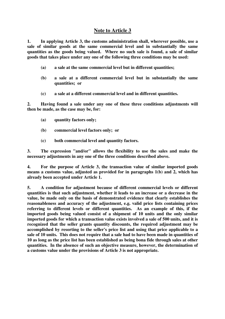1. In applying Article 3, the customs administration shall, wherever possible, use a sale of similar goods at the same commercial level and in substantially the same quantities as the goods being valued. Where no such sale is found, a sale of similar goods that takes place under any one of the following three conditions may be used:

- (a) a sale at the same commercial level but in different quantities;
- (b) a sale at a different commercial level but in substantially the same quantities; or
- (c) a sale at a different commercial level and in different quantities.

2. Having found a sale under any one of these three conditions adjustments will then be made, as the case may be, for:

- (a) quantity factors only;
- (b) commercial level factors only; or
- (c) both commercial level and quantity factors.

3. The expression "and/or" allows the flexibility to use the sales and make the necessary adjustments in any one of the three conditions described above.

4. For the purpose of Article 3, the transaction value of similar imported goods means a customs value, adjusted as provided for in paragraphs 1(b) and 2, which has already been accepted under Article 1.

5. A condition for adjustment because of different commercial levels or different quantities is that such adjustment, whether it leads to an increase or a decrease in the value, be made only on the basis of demonstrated evidence that clearly establishes the reasonableness and accuracy of the adjustment, e.g. valid price lists containing prices referring to different levels or different quantities. As an example of this, if the imported goods being valued consist of a shipment of 10 units and the only similar imported goods for which a transaction value exists involved a sale of 500 units, and it is recognized that the seller grants quantity discounts, the required adjustment may be accomplished by resorting to the seller's price list and using that price applicable to a sale of 10 units. This does not require that a sale had to have been made in quantities of 10 as long as the price list has been established as being bona fide through sales at other quantities. In the absence of such an objective measure, however, the determination of a customs value under the provisions of Article 3 is not appropriate.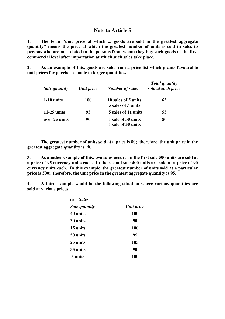1. The term "unit price at which ... goods are sold in the greatest aggregate quantity" means the price at which the greatest number of units is sold in sales to persons who are not related to the persons from whom they buy such goods at the first commercial level after importation at which such sales take place.

2. As an example of this, goods are sold from a price list which grants favourable unit prices for purchases made in larger quantities.

| Sale quantity | Unit price | <b>Number of sales</b>                    | <b>Total quantity</b><br>sold at each price |
|---------------|------------|-------------------------------------------|---------------------------------------------|
| $1-10$ units  | 100        | 10 sales of 5 units<br>5 sales of 3 units | 65                                          |
| $11-25$ units | 95         | 5 sales of 11 units                       | 55                                          |
| over 25 units | 90         | 1 sale of 30 units<br>1 sale of 50 units  | 80                                          |

 The greatest number of units sold at a price is 80; therefore, the unit price in the greatest aggregate quantity is 90.

3. As another example of this, two sales occur. In the first sale 500 units are sold at a price of 95 currency units each. In the second sale 400 units are sold at a price of 90 currency units each. In this example, the greatest number of units sold at a particular price is 500; therefore, the unit price in the greatest aggregate quantity is 95.

4. A third example would be the following situation where various quantities are sold at various prices.

| $(a)$ Sales          |            |
|----------------------|------------|
| <b>Sale quantity</b> | Unit price |
| 40 units             | 100        |
| 30 units             | 90         |
| 15 units             | 100        |
| 50 units             | 95         |
| 25 units             | 105        |
| 35 units             | 90         |
| 5 units              | 100        |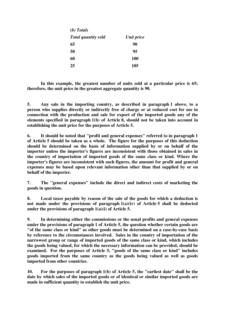| (b) Totals                 |            |
|----------------------------|------------|
| <b>Total quantity sold</b> | Unit price |
| 65                         | 90         |
| 50                         | 95         |
| 60                         | <b>100</b> |
| 25                         | 105        |

 In this example, the greatest number of units sold at a particular price is 65; therefore, the unit price in the greatest aggregate quantity is 90.

5. Any sale in the importing country, as described in paragraph 1 above, to a person who supplies directly or indirectly free of charge or at reduced cost for use in connection with the production and sale for export of the imported goods any of the elements specified in paragraph 1(b) of Article 8, should not be taken into account in establishing the unit price for the purposes of Article 5.

6. It should be noted that "profit and general expenses" referred to in paragraph 1 of Article 5 should be taken as a whole. The figure for the purposes of this deduction should be determined on the basis of information supplied by or on behalf of the importer unless the importer's figures are inconsistent with those obtained in sales in the country of importation of imported goods of the same class or kind. Where the importer's figures are inconsistent with such figures, the amount for profit and general expenses may be based upon relevant information other than that supplied by or on behalf of the importer.

7. The "general expenses" include the direct and indirect costs of marketing the goods in question.

8. Local taxes payable by reason of the sale of the goods for which a deduction is not made under the provisions of paragraph  $1(a)(iv)$  of Article 5 shall be deducted under the provisions of paragraph  $1(a)(i)$  of Article 5.

9. In determining either the commissions or the usual profits and general expenses under the provisions of paragraph 1 of Article 5, the question whether certain goods are "of the same class or kind" as other goods must be determined on a case-by-case basis by reference to the circumstances involved. Sales in the country of importation of the narrowest group or range of imported goods of the same class or kind, which includes the goods being valued, for which the necessary information can be provided, should be examined. For the purposes of Article 5, "goods of the same class or kind" includes goods imported from the same country as the goods being valued as well as goods imported from other countries.

10. For the purposes of paragraph 1(b) of Article 5, the "earliest date" shall be the date by which sales of the imported goods or of identical or similar imported goods are made in sufficient quantity to establish the unit price.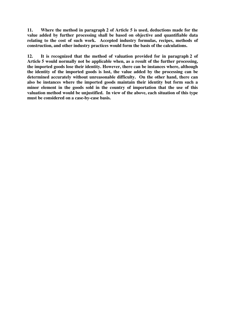11. Where the method in paragraph 2 of Article 5 is used, deductions made for the value added by further processing shall be based on objective and quantifiable data relating to the cost of such work. Accepted industry formulas, recipes, methods of construction, and other industry practices would form the basis of the calculations.

12. It is recognized that the method of valuation provided for in paragraph 2 of Article 5 would normally not be applicable when, as a result of the further processing, the imported goods lose their identity. However, there can be instances where, although the identity of the imported goods is lost, the value added by the processing can be determined accurately without unreasonable difficulty. On the other hand, there can also be instances where the imported goods maintain their identity but form such a minor element in the goods sold in the country of importation that the use of this valuation method would be unjustified. In view of the above, each situation of this type must be considered on a case-by-case basis.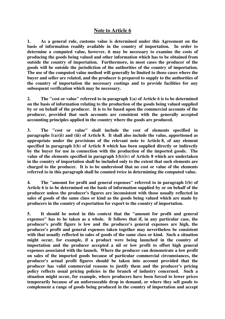1. As a general rule, customs value is determined under this Agreement on the basis of information readily available in the country of importation. In order to determine a computed value, however, it may be necessary to examine the costs of producing the goods being valued and other information which has to be obtained from outside the country of importation. Furthermore, in most cases the producer of the goods will be outside the jurisdiction of the authorities of the country of importation. The use of the computed value method will generally be limited to those cases where the buyer and seller are related, and the producer is prepared to supply to the authorities of the country of importation the necessary costings and to provide facilities for any subsequent verification which may be necessary.

2. The "cost or value" referred to in paragraph 1(a) of Article 6 is to be determined on the basis of information relating to the production of the goods being valued supplied by or on behalf of the producer. It is to be based upon the commercial accounts of the producer, provided that such accounts are consistent with the generally accepted accounting principles applied in the country where the goods are produced.

3. The "cost or value" shall include the cost of elements specified in paragraphs  $1(a)(ii)$  and (iii) of Article 8. It shall also include the value, apportioned as appropriate under the provisions of the relevant note to Article 8, of any element specified in paragraph 1(b) of Article 8 which has been supplied directly or indirectly by the buyer for use in connection with the production of the imported goods. The value of the elements specified in paragraph 1(b)(iv) of Article 8 which are undertaken in the country of importation shall be included only to the extent that such elements are charged to the producer. It is to be understood that no cost or value of the elements referred to in this paragraph shall be counted twice in determining the computed value.

4. The "amount for profit and general expenses" referred to in paragraph 1(b) of Article 6 is to be determined on the basis of information supplied by or on behalf of the producer unless the producer's figures are inconsistent with those usually reflected in sales of goods of the same class or kind as the goods being valued which are made by producers in the country of exportation for export to the country of importation.

5. It should be noted in this context that the "amount for profit and general expenses" has to be taken as a whole. It follows that if, in any particular case, the producer's profit figure is low and the producer's general expenses are high, the producer's profit and general expenses taken together may nevertheless be consistent with that usually reflected in sales of goods of the same class or kind. Such a situation might occur, for example, if a product were being launched in the country of importation and the producer accepted a nil or low profit to offset high general expenses associated with the launch. Where the producer can demonstrate a low profit on sales of the imported goods because of particular commercial circumstances, the producer's actual profit figures should be taken into account provided that the producer has valid commercial reasons to justify them and the producer's pricing policy reflects usual pricing policies in the branch of industry concerned. Such a situation might occur, for example, where producers have been forced to lower prices temporarily because of an unforeseeable drop in demand, or where they sell goods to complement a range of goods being produced in the country of importation and accept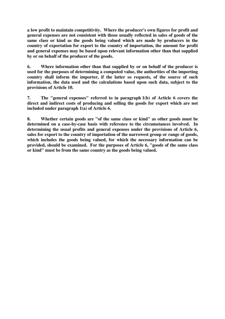a low profit to maintain competitivity. Where the producer's own figures for profit and general expenses are not consistent with those usually reflected in sales of goods of the same class or kind as the goods being valued which are made by producers in the country of exportation for export to the country of importation, the amount for profit and general expenses may be based upon relevant information other than that supplied by or on behalf of the producer of the goods.

6. Where information other than that supplied by or on behalf of the producer is used for the purposes of determining a computed value, the authorities of the importing country shall inform the importer, if the latter so requests, of the source of such information, the data used and the calculations based upon such data, subject to the provisions of Article 10.

7. The "general expenses" referred to in paragraph 1(b) of Article 6 covers the direct and indirect costs of producing and selling the goods for export which are not included under paragraph 1(a) of Article 6.

8. Whether certain goods are "of the same class or kind" as other goods must be determined on a case-by-case basis with reference to the circumstances involved. In determining the usual profits and general expenses under the provisions of Article 6, sales for export to the country of importation of the narrowest group or range of goods, which includes the goods being valued, for which the necessary information can be provided, should be examined. For the purposes of Article 6, "goods of the same class or kind" must be from the same country as the goods being valued.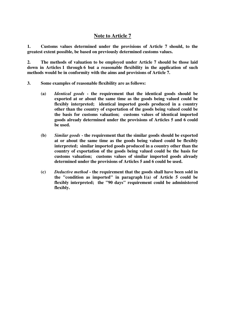1. Customs values determined under the provisions of Article 7 should, to the greatest extent possible, be based on previously determined customs values.

2. The methods of valuation to be employed under Article 7 should be those laid down in Articles 1 through 6 but a reasonable flexibility in the application of such methods would be in conformity with the aims and provisions of Article 7.

- 3. Some examples of reasonable flexibility are as follows:
	- (a) Identical goods the requirement that the identical goods should be exported at or about the same time as the goods being valued could be flexibly interpreted; identical imported goods produced in a country other than the country of exportation of the goods being valued could be the basis for customs valuation; customs values of identical imported goods already determined under the provisions of Articles 5 and 6 could be used.
	- (b) Similar goods the requirement that the similar goods should be exported at or about the same time as the goods being valued could be flexibly interpreted; similar imported goods produced in a country other than the country of exportation of the goods being valued could be the basis for customs valuation; customs values of similar imported goods already determined under the provisions of Articles 5 and 6 could be used.
	- (c) Deductive method the requirement that the goods shall have been sold in the "condition as imported" in paragraph 1(a) of Article 5 could be flexibly interpreted; the "90 days" requirement could be administered flexibly.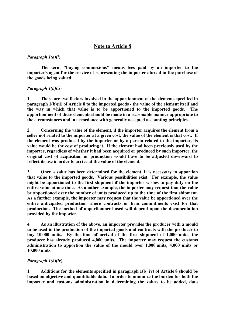## Paragraph  $1(a)(i)$

 The term "buying commissions" means fees paid by an importer to the importer's agent for the service of representing the importer abroad in the purchase of the goods being valued.

## Paragraph  $1(b)(ii)$

1. There are two factors involved in the apportionment of the elements specified in paragraph 1(b)(ii) of Article 8 to the imported goods - the value of the element itself and the way in which that value is to be apportioned to the imported goods. The apportionment of these elements should be made in a reasonable manner appropriate to the circumstances and in accordance with generally accepted accounting principles.

2. Concerning the value of the element, if the importer acquires the element from a seller not related to the importer at a given cost, the value of the element is that cost. If the element was produced by the importer or by a person related to the importer, its value would be the cost of producing it. If the element had been previously used by the importer, regardless of whether it had been acquired or produced by such importer, the original cost of acquisition or production would have to be adjusted downward to reflect its use in order to arrive at the value of the element.

3. Once a value has been determined for the element, it is necessary to apportion that value to the imported goods. Various possibilities exist. For example, the value might be apportioned to the first shipment if the importer wishes to pay duty on the entire value at one time. As another example, the importer may request that the value be apportioned over the number of units produced up to the time of the first shipment. As a further example, the importer may request that the value be apportioned over the entire anticipated production where contracts or firm commitments exist for that production. The method of apportionment used will depend upon the documentation provided by the importer.

4. As an illustration of the above, an importer provides the producer with a mould to be used in the production of the imported goods and contracts with the producer to buy 10,000 units. By the time of arrival of the first shipment of 1,000 units, the producer has already produced 4,000 units. The importer may request the customs administration to apportion the value of the mould over 1,000 units, 4,000 units or 10,000 units.

## Paragraph  $I(b)(iv)$

1. Additions for the elements specified in paragraph 1(b)(iv) of Article 8 should be based on objective and quantifiable data. In order to minimize the burden for both the importer and customs administration in determining the values to be added, data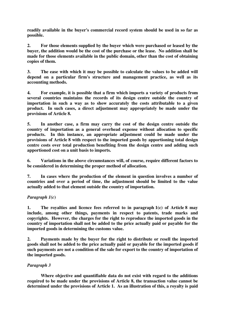readily available in the buyer's commercial record system should be used in so far as possible.

2. For those elements supplied by the buyer which were purchased or leased by the buyer, the addition would be the cost of the purchase or the lease. No addition shall be made for those elements available in the public domain, other than the cost of obtaining copies of them.

3. The ease with which it may be possible to calculate the values to be added will depend on a particular firm's structure and management practice, as well as its accounting methods.

4. For example, it is possible that a firm which imports a variety of products from several countries maintains the records of its design centre outside the country of importation in such a way as to show accurately the costs attributable to a given product. In such cases, a direct adjustment may appropriately be made under the provisions of Article 8.

5. In another case, a firm may carry the cost of the design centre outside the country of importation as a general overhead expense without allocation to specific products. In this instance, an appropriate adjustment could be made under the provisions of Article 8 with respect to the imported goods by apportioning total design centre costs over total production benefiting from the design centre and adding such apportioned cost on a unit basis to imports.

6. Variations in the above circumstances will, of course, require different factors to be considered in determining the proper method of allocation.

7. In cases where the production of the element in question involves a number of countries and over a period of time, the adjustment should be limited to the value actually added to that element outside the country of importation.

# Paragraph  $1(c)$

1. The royalties and licence fees referred to in paragraph 1(c) of Article 8 may include, among other things, payments in respect to patents, trade marks and copyrights. However, the charges for the right to reproduce the imported goods in the country of importation shall not be added to the price actually paid or payable for the imported goods in determining the customs value.

2. Payments made by the buyer for the right to distribute or resell the imported goods shall not be added to the price actually paid or payable for the imported goods if such payments are not a condition of the sale for export to the country of importation of the imported goods.

# Paragraph 3

 Where objective and quantifiable data do not exist with regard to the additions required to be made under the provisions of Article 8, the transaction value cannot be determined under the provisions of Article 1. As an illustration of this, a royalty is paid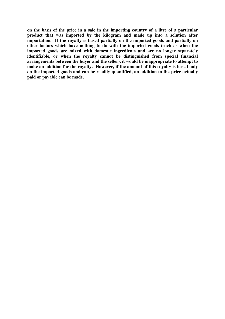on the basis of the price in a sale in the importing country of a litre of a particular product that was imported by the kilogram and made up into a solution after importation. If the royalty is based partially on the imported goods and partially on other factors which have nothing to do with the imported goods (such as when the imported goods are mixed with domestic ingredients and are no longer separately identifiable, or when the royalty cannot be distinguished from special financial arrangements between the buyer and the seller), it would be inappropriate to attempt to make an addition for the royalty. However, if the amount of this royalty is based only on the imported goods and can be readily quantified, an addition to the price actually paid or payable can be made.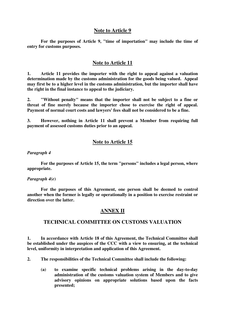For the purposes of Article 9, "time of importation" may include the time of entry for customs purposes.

# Note to Article 11

1. Article 11 provides the importer with the right to appeal against a valuation determination made by the customs administration for the goods being valued. Appeal may first be to a higher level in the customs administration, but the importer shall have the right in the final instance to appeal to the judiciary.

2. "Without penalty" means that the importer shall not be subject to a fine or threat of fine merely because the importer chose to exercise the right of appeal. Payment of normal court costs and lawyers' fees shall not be considered to be a fine.

3. However, nothing in Article 11 shall prevent a Member from requiring full payment of assessed customs duties prior to an appeal.

# Note to Article 15

Paragraph 4

 For the purposes of Article 15, the term "persons" includes a legal person, where appropriate.

#### Paragraph 4(e)

 For the purposes of this Agreement, one person shall be deemed to control another when the former is legally or operationally in a position to exercise restraint or direction over the latter.

## ANNEX II

# TECHNICAL COMMITTEE ON CUSTOMS VALUATION

1. In accordance with Article 18 of this Agreement, the Technical Committee shall be established under the auspices of the CCC with a view to ensuring, at the technical level, uniformity in interpretation and application of this Agreement.

2. The responsibilities of the Technical Committee shall include the following:

(a) to examine specific technical problems arising in the day-to-day administration of the customs valuation system of Members and to give advisory opinions on appropriate solutions based upon the facts presented;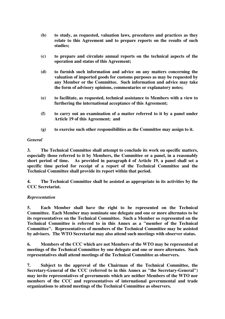- (b) to study, as requested, valuation laws, procedures and practices as they relate to this Agreement and to prepare reports on the results of such studies;
- (c) to prepare and circulate annual reports on the technical aspects of the operation and status of this Agreement;
- (d) to furnish such information and advice on any matters concerning the valuation of imported goods for customs purposes as may be requested by any Member or the Committee. Such information and advice may take the form of advisory opinions, commentaries or explanatory notes;
- (e) to facilitate, as requested, technical assistance to Members with a view to furthering the international acceptance of this Agreement;
- (f) to carry out an examination of a matter referred to it by a panel under Article 19 of this Agreement; and
- (g) to exercise such other responsibilities as the Committee may assign to it.

# General

3. The Technical Committee shall attempt to conclude its work on specific matters, especially those referred to it by Members, the Committee or a panel, in a reasonably short period of time. As provided in paragraph 4 of Article 19, a panel shall set a specific time period for receipt of a report of the Technical Committee and the Technical Committee shall provide its report within that period.

4. The Technical Committee shall be assisted as appropriate in its activities by the CCC Secretariat.

# Representation

5. Each Member shall have the right to be represented on the Technical Committee. Each Member may nominate one delegate and one or more alternates to be its representatives on the Technical Committee. Such a Member so represented on the Technical Committee is referred to in this Annex as a "member of the Technical Committee". Representatives of members of the Technical Committee may be assisted by advisers. The WTO Secretariat may also attend such meetings with observer status.

6. Members of the CCC which are not Members of the WTO may be represented at meetings of the Technical Committee by one delegate and one or more alternates. Such representatives shall attend meetings of the Technical Committee as observers.

7. Subject to the approval of the Chairman of the Technical Committee, the Secretary-General of the CCC (referred to in this Annex as "the Secretary-General") may invite representatives of governments which are neither Members of the WTO nor members of the CCC and representatives of international governmental and trade organizations to attend meetings of the Technical Committee as observers.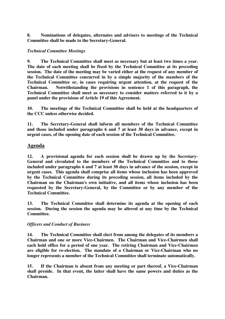8. Nominations of delegates, alternates and advisers to meetings of the Technical Committee shall be made to the Secretary-General.

## Technical Committee Meetings

9. The Technical Committee shall meet as necessary but at least two times a year. The date of each meeting shall be fixed by the Technical Committee at its preceding session. The date of the meeting may be varied either at the request of any member of the Technical Committee concurred in by a simple majority of the members of the Technical Committee or, in cases requiring urgent attention, at the request of the Chairman. Notwithstanding the provisions in sentence 1 of this paragraph, the Technical Committee shall meet as necessary to consider matters referred to it by a panel under the provisions of Article 19 of this Agreement.

10. The meetings of the Technical Committee shall be held at the headquarters of the CCC unless otherwise decided.

11. The Secretary-General shall inform all members of the Technical Committee and those included under paragraphs 6 and 7 at least 30 days in advance, except in urgent cases, of the opening date of each session of the Technical Committee.

# Agenda

12. A provisional agenda for each session shall be drawn up by the Secretary-General and circulated to the members of the Technical Committee and to those included under paragraphs 6 and 7 at least 30 days in advance of the session, except in urgent cases. This agenda shall comprise all items whose inclusion has been approved by the Technical Committee during its preceding session, all items included by the Chairman on the Chairman's own initiative, and all items whose inclusion has been requested by the Secretary-General, by the Committee or by any member of the Technical Committee.

13. The Technical Committee shall determine its agenda at the opening of each session. During the session the agenda may be altered at any time by the Technical Committee.

# Officers and Conduct of Business

14. The Technical Committee shall elect from among the delegates of its members a Chairman and one or more Vice-Chairmen. The Chairman and Vice-Chairmen shall each hold office for a period of one year. The retiring Chairman and Vice-Chairmen are eligible for re-election. The mandate of a Chairman or Vice-Chairman who no longer represents a member of the Technical Committee shall terminate automatically.

15. If the Chairman is absent from any meeting or part thereof, a Vice-Chairman shall preside. In that event, the latter shall have the same powers and duties as the Chairman.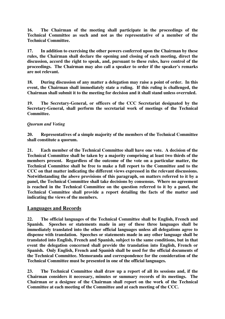16. The Chairman of the meeting shall participate in the proceedings of the Technical Committee as such and not as the representative of a member of the Technical Committee.

17. In addition to exercising the other powers conferred upon the Chairman by these rules, the Chairman shall declare the opening and closing of each meeting, direct the discussion, accord the right to speak, and, pursuant to these rules, have control of the proceedings. The Chairman may also call a speaker to order if the speaker's remarks are not relevant.

18. During discussion of any matter a delegation may raise a point of order. In this event, the Chairman shall immediately state a ruling. If this ruling is challenged, the Chairman shall submit it to the meeting for decision and it shall stand unless overruled.

19. The Secretary-General, or officers of the CCC Secretariat designated by the Secretary-General, shall perform the secretarial work of meetings of the Technical Committee.

# Quorum and Voting

20. Representatives of a simple majority of the members of the Technical Committee shall constitute a quorum.

21. Each member of the Technical Committee shall have one vote. A decision of the Technical Committee shall be taken by a majority comprising at least two thirds of the members present. Regardless of the outcome of the vote on a particular matter, the Technical Committee shall be free to make a full report to the Committee and to the CCC on that matter indicating the different views expressed in the relevant discussions. Notwithstanding the above provisions of this paragraph, on matters referred to it by a panel, the Technical Committee shall take decisions by consensus. Where no agreement is reached in the Technical Committee on the question referred to it by a panel, the Technical Committee shall provide a report detailing the facts of the matter and indicating the views of the members.

# Languages and Records

22. The official languages of the Technical Committee shall be English, French and Spanish. Speeches or statements made in any of these three languages shall be immediately translated into the other official languages unless all delegations agree to dispense with translation. Speeches or statements made in any other language shall be translated into English, French and Spanish, subject to the same conditions, but in that event the delegation concerned shall provide the translation into English, French or Spanish. Only English, French and Spanish shall be used for the official documents of the Technical Committee. Memoranda and correspondence for the consideration of the Technical Committee must be presented in one of the official languages.

23. The Technical Committee shall draw up a report of all its sessions and, if the Chairman considers it necessary, minutes or summary records of its meetings. The Chairman or a designee of the Chairman shall report on the work of the Technical Committee at each meeting of the Committee and at each meeting of the CCC.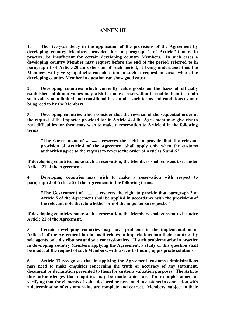# ANNEX III

1. The five-year delay in the application of the provisions of the Agreement by developing country Members provided for in paragraph 1 of Article 20 may, in practice, be insufficient for certain developing country Members. In such cases a developing country Member may request before the end of the period referred to in paragraph 1 of Article 20 an extension of such period, it being understood that the Members will give sympathetic consideration to such a request in cases where the developing country Member in question can show good cause.

2. Developing countries which currently value goods on the basis of officially established minimum values may wish to make a reservation to enable them to retain such values on a limited and transitional basis under such terms and conditions as may be agreed to by the Members.

3. Developing countries which consider that the reversal of the sequential order at the request of the importer provided for in Article 4 of the Agreement may give rise to real difficulties for them may wish to make a reservation to Article 4 in the following terms:

"The Government of ............ reserves the right to provide that the relevant provision of Article 4 of the Agreement shall apply only when the customs authorities agree to the request to reverse the order of Articles 5 and 6."

If developing countries make such a reservation, the Members shall consent to it under Article 21 of the Agreement.

4. Developing countries may wish to make a reservation with respect to paragraph 2 of Article 5 of the Agreement in the following terms:

"The Government of ............ reserves the right to provide that paragraph 2 of Article 5 of the Agreement shall be applied in accordance with the provisions of the relevant note thereto whether or not the importer so requests."

If developing countries make such a reservation, the Members shall consent to it under Article 21 of the Agreement.

5. Certain developing countries may have problems in the implementation of Article 1 of the Agreement insofar as it relates to importations into their countries by sole agents, sole distributors and sole concessionaires. If such problems arise in practice in developing country Members applying the Agreement, a study of this question shall be made, at the request of such Members, with a view to finding appropriate solutions.

6. Article 17 recognizes that in applying the Agreement, customs administrations may need to make enquiries concerning the truth or accuracy of any statement, document or declaration presented to them for customs valuation purposes. The Article thus acknowledges that enquiries may be made which are, for example, aimed at verifying that the elements of value declared or presented to customs in connection with a determination of customs value are complete and correct. Members, subject to their